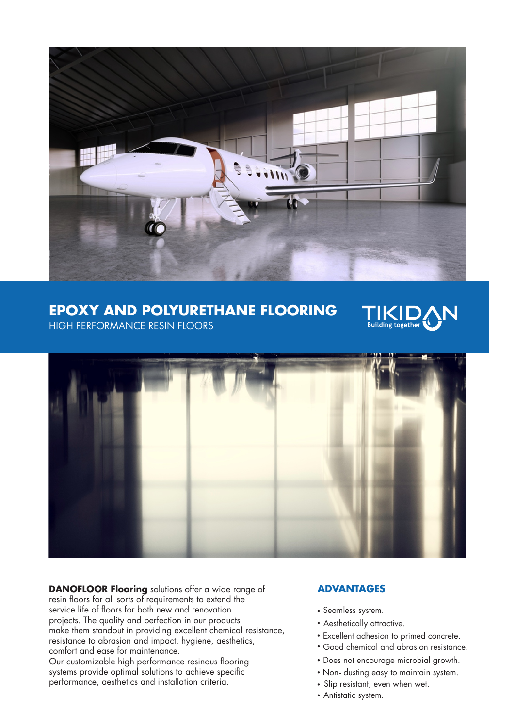

# **EPOXY AND POLYURETHANE FLOORING**



HIGH PERFORMANCE RESIN FLOORS



**DANOFLOOR Flooring** solutions offer a wide range of resin floors for all sorts of requirements to extend the service life of floors for both new and renovation projects. The quality and perfection in our products make them standout in providing excellent chemical resistance, resistance to abrasion and impact, hygiene, aesthetics, comfort and ease for maintenance.

Our customizable high performance resinous flooring systems provide optimal solutions to achieve specific performance, aesthetics and installation criteria.

# **ADVANTAGES**

- Seamless system.
- Aesthetically attractive.
- Excellent adhesion to primed concrete.
- Good chemical and abrasion resistance.
- Does not encourage microbial growth.
- Non-dusting easy to maintain system.
- Slip resistant, even when wet.
- Antistatic system.